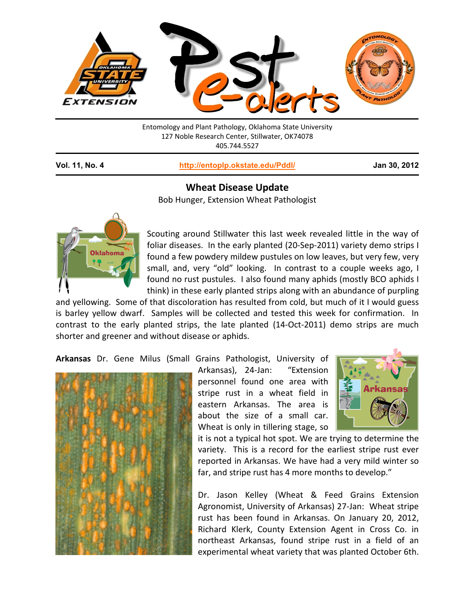

Entomology and Plant Pathology, Oklahoma State University 127 Noble Research Center, Stillwater, OK74078 405.744.5527

**Vol. 11, No. 4 <http://entoplp.okstate.edu/Pddl/> Jan 30, 2012**

## **Wheat Disease Update**

Bob Hunger, Extension Wheat Pathologist



Scouting around Stillwater this last week revealed little in the way of foliar diseases. In the early planted (20-Sep-2011) variety demo strips I found a few powdery mildew pustules on low leaves, but very few, very small, and, very "old" looking. In contrast to a couple weeks ago, I found no rust pustules. I also found many aphids (mostly BCO aphids I think) in these early planted strips along with an abundance of purpling

and yellowing. Some of that discoloration has resulted from cold, but much of it I would guess is barley yellow dwarf. Samples will be collected and tested this week for confirmation. In contrast to the early planted strips, the late planted (14-Oct-2011) demo strips are much shorter and greener and without disease or aphids.

**Arkansas** Dr. Gene Milus (Small Grains Pathologist, University of



Arkansas), 24-Jan: "Extension personnel found one area with stripe rust in a wheat field in eastern Arkansas. The area is about the size of a small car. Wheat is only in tillering stage, so



it is not a typical hot spot. We are trying to determine the variety. This is a record for the earliest stripe rust ever reported in Arkansas. We have had a very mild winter so far, and stripe rust has 4 more months to develop."

Dr. Jason Kelley (Wheat & Feed Grains Extension Agronomist, University of Arkansas) 27-Jan: Wheat stripe rust has been found in Arkansas. On January 20, 2012, Richard Klerk, County Extension Agent in Cross Co. in northeast Arkansas, found stripe rust in a field of an experimental wheat variety that was planted October 6th.